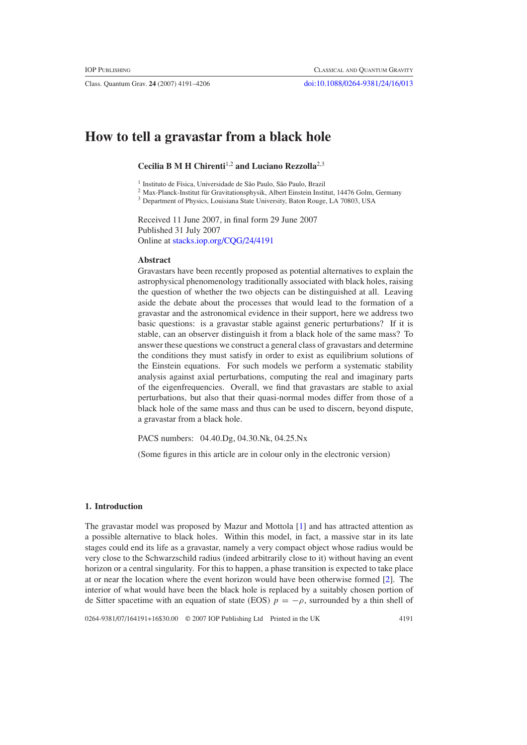Class. Quantum Grav. **24** (2007) 4191–4206 [doi:10.1088/0264-9381/24/16/013](http://dx.doi.org/10.1088/0264-9381/24/16/013)

# **How to tell a gravastar from a black hole**

**Cecilia B M H Chirenti**1,2 **and Luciano Rezzolla**2,3

<sup>1</sup> Instituto de Física, Universidade de São Paulo, São Paulo, Brazil

 $2$  Max-Planck-Institut für Gravitationsphysik, Albert Einstein Institut, 14476 Golm, Germany

<sup>3</sup> Department of Physics, Louisiana State University, Baton Rouge, LA 70803, USA

Received 11 June 2007, in final form 29 June 2007 Published 31 July 2007 Online at [stacks.iop.org/CQG/24/4191](http://stacks.iop.org/CQG/24/4191)

#### **Abstract**

Gravastars have been recently proposed as potential alternatives to explain the astrophysical phenomenology traditionally associated with black holes, raising the question of whether the two objects can be distinguished at all. Leaving aside the debate about the processes that would lead to the formation of a gravastar and the astronomical evidence in their support, here we address two basic questions: is a gravastar stable against generic perturbations? If it is stable, can an observer distinguish it from a black hole of the same mass? To answer these questions we construct a general class of gravastars and determine the conditions they must satisfy in order to exist as equilibrium solutions of the Einstein equations. For such models we perform a systematic stability analysis against axial perturbations, computing the real and imaginary parts of the eigenfrequencies. Overall, we find that gravastars are stable to axial perturbations, but also that their quasi-normal modes differ from those of a black hole of the same mass and thus can be used to discern, beyond dispute, a gravastar from a black hole.

PACS numbers: 04.40.Dg, 04.30.Nk, 04.25.Nx

(Some figures in this article are in colour only in the electronic version)

#### **1. Introduction**

The gravastar model was proposed by Mazur and Mottola [\[1\]](#page-14-0) and has attracted attention as a possible alternative to black holes. Within this model, in fact, a massive star in its late stages could end its life as a gravastar, namely a very compact object whose radius would be very close to the Schwarzschild radius (indeed arbitrarily close to it) without having an event horizon or a central singularity. For this to happen, a phase transition is expected to take place at or near the location where the event horizon would have been otherwise formed [\[2](#page-14-0)]. The interior of what would have been the black hole is replaced by a suitably chosen portion of de Sitter spacetime with an equation of state (EOS)  $p = -\rho$ , surrounded by a thin shell of

0264-9381/07/164191+16\$30.00 © 2007 IOP Publishing Ltd Printed in the UK 4191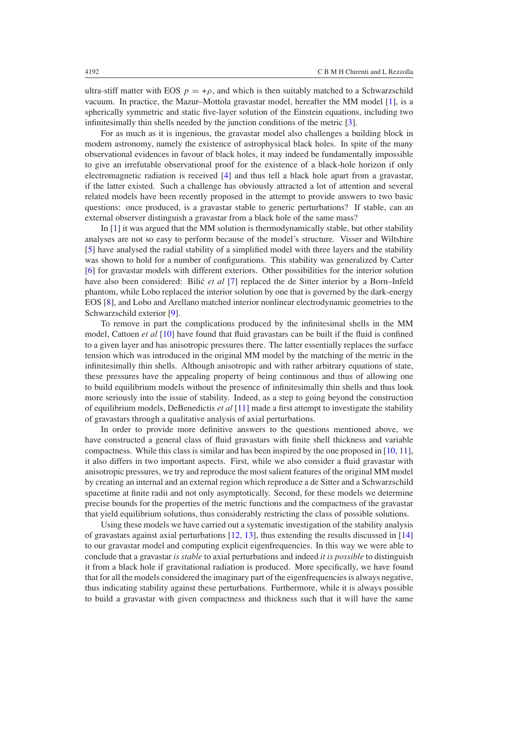ultra-stiff matter with EOS  $p = +\rho$ , and which is then suitably matched to a Schwarzschild vacuum. In practice, the Mazur–Mottola gravastar model, hereafter the MM model [\[1\]](#page-14-0), is a spherically symmetric and static five-layer solution of the Einstein equations, including two infinitesimally thin shells needed by the junction conditions of the metric [\[3\]](#page-14-0).

For as much as it is ingenious, the gravastar model also challenges a building block in modern astronomy, namely the existence of astrophysical black holes. In spite of the many observational evidences in favour of black holes, it may indeed be fundamentally impossible to give an irrefutable observational proof for the existence of a black-hole horizon if only electromagnetic radiation is received [\[4\]](#page-14-0) and thus tell a black hole apart from a gravastar, if the latter existed. Such a challenge has obviously attracted a lot of attention and several related models have been recently proposed in the attempt to provide answers to two basic questions: once produced, is a gravastar stable to generic perturbations? If stable, can an external observer distinguish a gravastar from a black hole of the same mass?

In [\[1\]](#page-14-0) it was argued that the MM solution is thermodynamically stable, but other stability analyses are not so easy to perform because of the model's structure. Visser and Wiltshire [\[5](#page-14-0)] have analysed the radial stability of a simplified model with three layers and the stability was shown to hold for a number of configurations. This stability was generalized by Carter [\[6](#page-14-0)] for gravastar models with different exteriors. Other possibilities for the interior solution have also been considered: Bilić et al [\[7](#page-14-0)] replaced the de Sitter interior by a Born–Infeld phantom, while Lobo replaced the interior solution by one that is governed by the dark-energy EOS [\[8](#page-14-0)], and Lobo and Arellano matched interior nonlinear electrodynamic geometries to the Schwarzschild exterior [\[9](#page-14-0)].

To remove in part the complications produced by the infinitesimal shells in the MM model, Cattoen *et al* [\[10\]](#page-14-0) have found that fluid gravastars can be built if the fluid is confined to a given layer and has anisotropic pressures there. The latter essentially replaces the surface tension which was introduced in the original MM model by the matching of the metric in the infinitesimally thin shells. Although anisotropic and with rather arbitrary equations of state, these pressures have the appealing property of being continuous and thus of allowing one to build equilibrium models without the presence of infinitesimally thin shells and thus look more seriously into the issue of stability. Indeed, as a step to going beyond the construction of equilibrium models, DeBenedictis *et al* [\[11](#page-14-0)] made a first attempt to investigate the stability of gravastars through a qualitative analysis of axial perturbations.

In order to provide more definitive answers to the questions mentioned above, we have constructed a general class of fluid gravastars with finite shell thickness and variable compactness. While this class is similar and has been inspired by the one proposed in  $[10, 11]$  $[10, 11]$  $[10, 11]$ , it also differs in two important aspects. First, while we also consider a fluid gravastar with anisotropic pressures, we try and reproduce the most salient features of the original MM model by creating an internal and an external region which reproduce a de Sitter and a Schwarzschild spacetime at finite radii and not only asymptotically. Second, for these models we determine precise bounds for the properties of the metric functions and the compactness of the gravastar that yield equilibrium solutions, thus considerably restricting the class of possible solutions.

Using these models we have carried out a systematic investigation of the stability analysis of gravastars against axial perturbations [\[12,](#page-14-0) [13\]](#page-14-0), thus extending the results discussed in [\[14](#page-14-0)] to our gravastar model and computing explicit eigenfrequencies. In this way we were able to conclude that a gravastar *is stable* to axial perturbations and indeed *it is possible* to distinguish it from a black hole if gravitational radiation is produced. More specifically, we have found that for all the models considered the imaginary part of the eigenfrequencies is always negative, thus indicating stability against these perturbations. Furthermore, while it is always possible to build a gravastar with given compactness and thickness such that it will have the same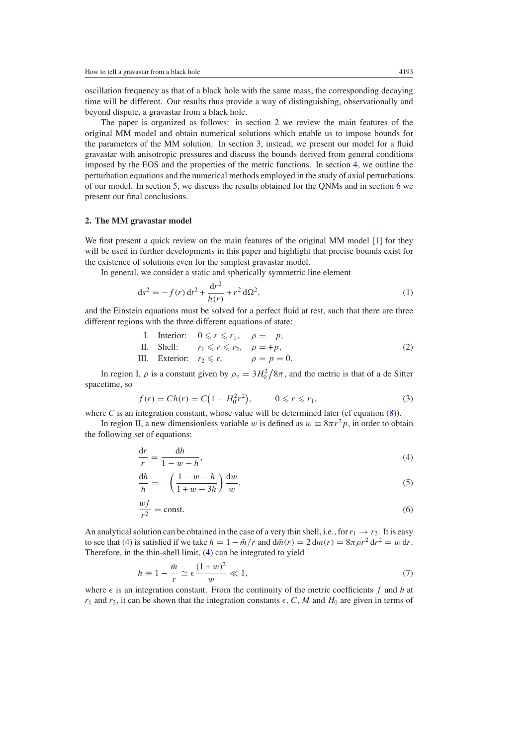oscillation frequency as that of a black hole with the same mass, the corresponding decaying time will be different. Our results thus provide a way of distinguishing, observationally and beyond dispute, a gravastar from a black hole.

The paper is organized as follows: in section 2 we review the main features of the original MM model and obtain numerical solutions which enable us to impose bounds for the parameters of the MM solution. In section [3,](#page-4-0) instead, we present our model for a fluid gravastar with anisotropic pressures and discuss the bounds derived from general conditions imposed by the EOS and the properties of the metric functions. In section [4,](#page-8-0) we outline the perturbation equations and the numerical methods employed in the study of axial perturbations of our model. In section [5,](#page-11-0) we discuss the results obtained for the QNMs and in section [6](#page-13-0) we present our final conclusions.

## **2. The MM gravastar model**

We first present a quick review on the main features of the original MM model [\[1](#page-14-0)] for they will be used in further developments in this paper and highlight that precise bounds exist for the existence of solutions even for the simplest gravastar model.

In general, we consider a static and spherically symmetric line element

$$
ds^{2} = -f(r) dt^{2} + \frac{dr^{2}}{h(r)} + r^{2} d\Omega^{2},
$$
\n(1)

and the Einstein equations must be solved for a perfect fluid at rest, such that there are three different regions with the three different equations of state:

I. Interior: 
$$
0 \le r \le r_1
$$
,  $\rho = -p$ ,  
\nII. Shell:  $r_1 \le r \le r_2$ ,  $\rho = +p$ ,  
\nIII. exterior:  $r_2 \le r$ ,  $\rho = p = 0$ . (2)

In region I,  $\rho$  is a constant given by  $\rho_v = 3H_0^2/8\pi$ , and the metric is that of a de Sitter spacetime, so

$$
f(r) = Ch(r) = C(1 - H_0^2 r^2), \qquad 0 \le r \le r_1,
$$
\n(3)

where  $C$  is an integration constant, whose value will be determined later (cf equation  $(8)$ ).

In region II, a new dimensionless variable *w* is defined as  $w = 8\pi r^2 p$ , in order to obtain the following set of equations:

$$
\frac{\mathrm{d}r}{r} = \frac{\mathrm{d}h}{1 - w - h},\tag{4}
$$

$$
\frac{dh}{h} = -\left(\frac{1-w-h}{1+w-3h}\right)\frac{dw}{w},\tag{5}
$$

$$
\frac{wf}{r^2} = \text{const.}\tag{6}
$$

An analytical solution can be obtained in the case of a very thin shell, i.e., for  $r_1 \rightarrow r_2$ . It is easy to see that (4) is satisfied if we take  $h = 1 - \bar{m}/r$  and  $d\bar{m}(r) = 2 dm(r) = 8\pi \rho r^2 dr^2 = w dr$ . Therefore, in the thin-shell limit, (4) can be integrated to yield

$$
h \equiv 1 - \frac{\bar{m}}{r} \simeq \epsilon \frac{(1+w)^2}{w} \ll 1,
$$
\n(7)

where  $\epsilon$  is an integration constant. From the continuity of the metric coefficients f and h at  $r_1$  and  $r_2$ , it can be shown that the integration constants  $\epsilon$ , C, M and  $H_0$  are given in terms of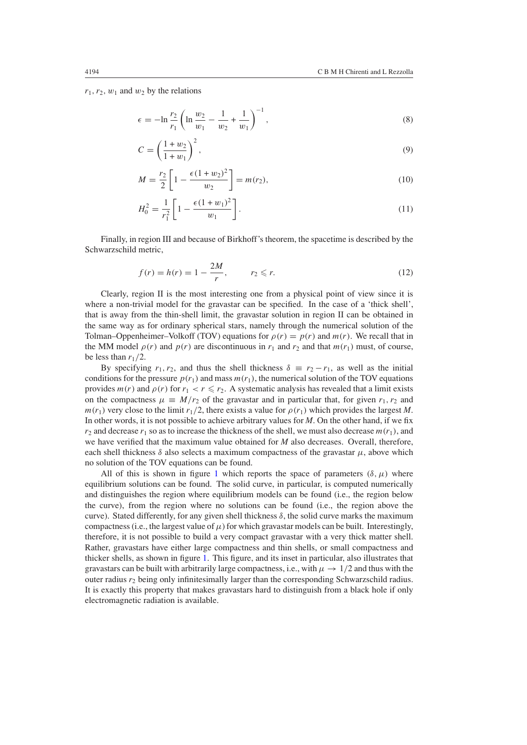<span id="page-3-0"></span> $r_1, r_2, w_1$  and  $w_2$  by the relations

$$
\epsilon = -\ln \frac{r_2}{r_1} \left( \ln \frac{w_2}{w_1} - \frac{1}{w_2} + \frac{1}{w_1} \right)^{-1},\tag{8}
$$

$$
C = \left(\frac{1+w_2}{1+w_1}\right)^2,\tag{9}
$$

$$
M = \frac{r_2}{2} \left[ 1 - \frac{\epsilon (1 + w_2)^2}{w_2} \right] = m(r_2),\tag{10}
$$

$$
H_0^2 = \frac{1}{r_1^2} \left[ 1 - \frac{\epsilon (1 + w_1)^2}{w_1} \right].
$$
 (11)

Finally, in region III and because of Birkhoff's theorem, the spacetime is described by the Schwarzschild metric,

$$
f(r) = h(r) = 1 - \frac{2M}{r},
$$
  $r_2 \le r.$  (12)

Clearly, region II is the most interesting one from a physical point of view since it is where a non-trivial model for the gravastar can be specified. In the case of a 'thick shell', that is away from the thin-shell limit, the gravastar solution in region II can be obtained in the same way as for ordinary spherical stars, namely through the numerical solution of the Tolman–Oppenheimer–Volkoff (TOV) equations for *ρ(r)* = *p(r)* and *m(r)*. We recall that in the MM model  $\rho(r)$  and  $p(r)$  are discontinuous in  $r_1$  and  $r_2$  and that  $m(r_1)$  must, of course, be less than  $r_1/2$ .

By specifying  $r_1, r_2$ , and thus the shell thickness  $\delta \equiv r_2 - r_1$ , as well as the initial conditions for the pressure  $p(r_1)$  and mass  $m(r_1)$ , the numerical solution of the TOV equations provides  $m(r)$  and  $\rho(r)$  for  $r_1 < r \leq r_2$ . A systematic analysis has revealed that a limit exists on the compactness  $\mu \equiv M/r_2$  of the gravastar and in particular that, for given  $r_1, r_2$  and *m*( $r_1$ ) very close to the limit  $r_1/2$ , there exists a value for  $\rho(r_1)$  which provides the largest *M*. In other words, it is not possible to achieve arbitrary values for *M*. On the other hand, if we fix  $r_2$  and decrease  $r_1$  so as to increase the thickness of the shell, we must also decrease  $m(r_1)$ , and we have verified that the maximum value obtained for *M* also decreases. Overall, therefore, each shell thickness  $\delta$  also selects a maximum compactness of the gravastar  $\mu$ , above which no solution of the TOV equations can be found.

All of this is shown in figure [1](#page-4-0) which reports the space of parameters  $(\delta, \mu)$  where equilibrium solutions can be found. The solid curve, in particular, is computed numerically and distinguishes the region where equilibrium models can be found (i.e., the region below the curve), from the region where no solutions can be found (i.e., the region above the curve). Stated differently, for any given shell thickness  $\delta$ , the solid curve marks the maximum compactness (i.e., the largest value of  $\mu$ ) for which gravastar models can be built. Interestingly, therefore, it is not possible to build a very compact gravastar with a very thick matter shell. Rather, gravastars have either large compactness and thin shells, or small compactness and thicker shells, as shown in figure [1.](#page-4-0) This figure, and its inset in particular, also illustrates that gravastars can be built with arbitrarily large compactness, i.e., with  $\mu \to 1/2$  and thus with the outer radius  $r_2$  being only infinitesimally larger than the corresponding Schwarzschild radius. It is exactly this property that makes gravastars hard to distinguish from a black hole if only electromagnetic radiation is available.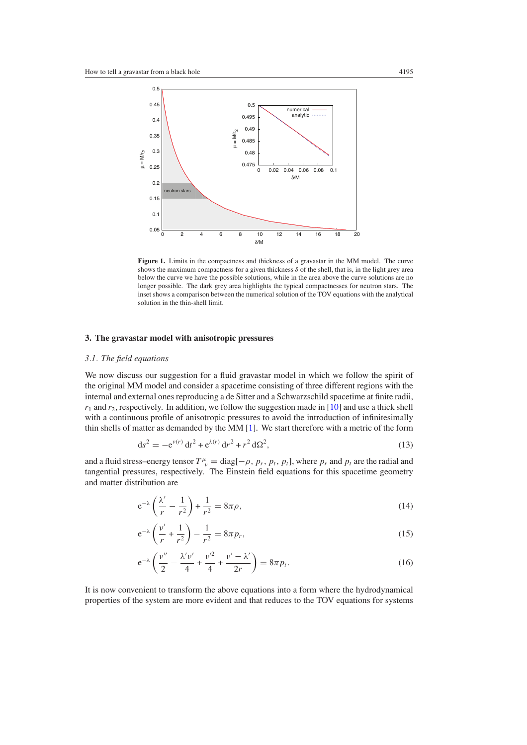<span id="page-4-0"></span>

Figure 1. Limits in the compactness and thickness of a gravastar in the MM model. The curve shows the maximum compactness for a given thickness *δ* of the shell, that is, in the light grey area below the curve we have the possible solutions, while in the area above the curve solutions are no longer possible. The dark grey area highlights the typical compactnesses for neutron stars. The inset shows a comparison between the numerical solution of the TOV equations with the analytical solution in the thin-shell limit.

## **3. The gravastar model with anisotropic pressures**

# *3.1. The field equations*

We now discuss our suggestion for a fluid gravastar model in which we follow the spirit of the original MM model and consider a spacetime consisting of three different regions with the internal and external ones reproducing a de Sitter and a Schwarzschild spacetime at finite radii,  $r_1$  and  $r_2$ , respectively. In addition, we follow the suggestion made in [\[10](#page-14-0)] and use a thick shell with a continuous profile of anisotropic pressures to avoid the introduction of infinitesimally thin shells of matter as demanded by the MM [\[1\]](#page-14-0). We start therefore with a metric of the form

$$
ds^{2} = -e^{\nu(r)} dt^{2} + e^{\lambda(r)} dr^{2} + r^{2} d\Omega^{2},
$$
\n(13)

and a fluid stress–energy tensor  $T^{\mu}_{\ \nu} = \text{diag}[-\rho, p_r, p_t, p_t]$ , where  $p_r$  and  $p_t$  are the radial and tangential pressures, respectively. The Einstein field equations for this spacetime geometry and matter distribution are

$$
e^{-\lambda}\left(\frac{\lambda'}{r} - \frac{1}{r^2}\right) + \frac{1}{r^2} = 8\pi\rho,
$$
\n(14)

$$
e^{-\lambda} \left( \frac{v'}{r} + \frac{1}{r^2} \right) - \frac{1}{r^2} = 8\pi p_r,
$$
 (15)

$$
e^{-\lambda} \left( \frac{\nu''}{2} - \frac{\lambda' \nu'}{4} + \frac{\nu'^2}{4} + \frac{\nu' - \lambda'}{2r} \right) = 8\pi p_t.
$$
 (16)

It is now convenient to transform the above equations into a form where the hydrodynamical properties of the system are more evident and that reduces to the TOV equations for systems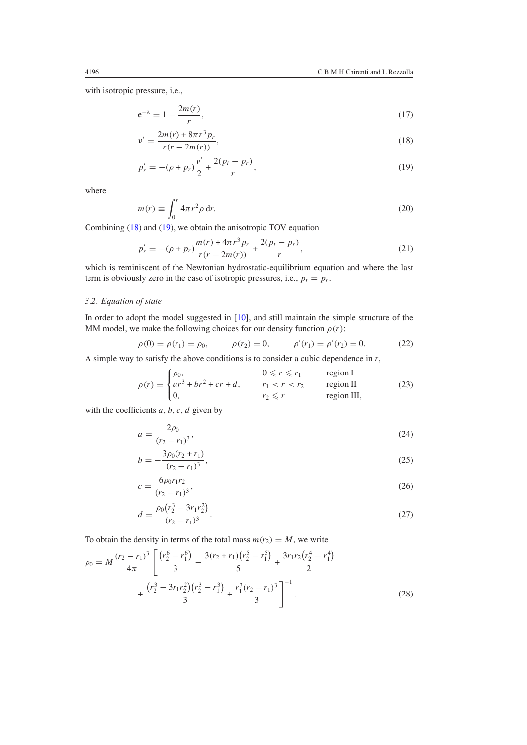<span id="page-5-0"></span>with isotropic pressure, i.e.,

$$
e^{-\lambda} = 1 - \frac{2m(r)}{r},
$$
\n(17)

$$
v' = \frac{2m(r) + 8\pi r^3 p_r}{r(r - 2m(r))},
$$
\n(18)

$$
p'_r = -(\rho + p_r)\frac{v'}{2} + \frac{2(p_t - p_r)}{r},\tag{19}
$$

where

$$
m(r) \equiv \int_0^r 4\pi r^2 \rho \, dr. \tag{20}
$$

Combining (18) and (19), we obtain the anisotropic TOV equation

$$
p'_r = -(\rho + p_r) \frac{m(r) + 4\pi r^3 p_r}{r(r - 2m(r))} + \frac{2(p_t - p_r)}{r},
$$
\n(21)

which is reminiscent of the Newtonian hydrostatic-equilibrium equation and where the last term is obviously zero in the case of isotropic pressures, i.e.,  $p_t = p_r$ .

# *3.2. Equation of state*

In order to adopt the model suggested in [\[10](#page-14-0)], and still maintain the simple structure of the MM model, we make the following choices for our density function  $\rho(r)$ :

$$
\rho(0) = \rho(r_1) = \rho_0, \qquad \rho(r_2) = 0, \qquad \rho'(r_1) = \rho'(r_2) = 0. \tag{22}
$$

A simple way to satisfy the above conditions is to consider a cubic dependence in *r*,

$$
\rho(r) = \begin{cases}\n\rho_0, & 0 \le r \le r_1 \quad \text{region I} \\
ar^3 + br^2 + cr + d, & r_1 < r < r_2 \quad \text{region II} \\
0, & r_2 \le r \quad \text{region III,} \n\end{cases}
$$
\n(23)

with the coefficients *a, b, c, d* given by

$$
a = \frac{2\rho_0}{(r_2 - r_1)^3},\tag{24}
$$

$$
b = -\frac{3\rho_0(r_2 + r_1)}{(r_2 - r_1)^3},\tag{25}
$$

$$
c = \frac{6\rho_0 r_1 r_2}{(r_2 - r_1)^3},\tag{26}
$$

$$
d = \frac{\rho_0 (r_2^3 - 3r_1 r_2^2)}{(r_2 - r_1)^3}.
$$
\n(27)

To obtain the density in terms of the total mass  $m(r_2) = M$ , we write

$$
\rho_0 = M \frac{(r_2 - r_1)^3}{4\pi} \left[ \frac{(r_2^6 - r_1^6)}{3} - \frac{3(r_2 + r_1)(r_2^5 - r_1^5)}{5} + \frac{3r_1r_2(r_2^4 - r_1^4)}{2} + \frac{(r_2^3 - 3r_1r_2^2)(r_2^3 - r_1^3)}{3} + \frac{r_1^3(r_2 - r_1)^3}{3} \right]^{-1}.
$$
\n(28)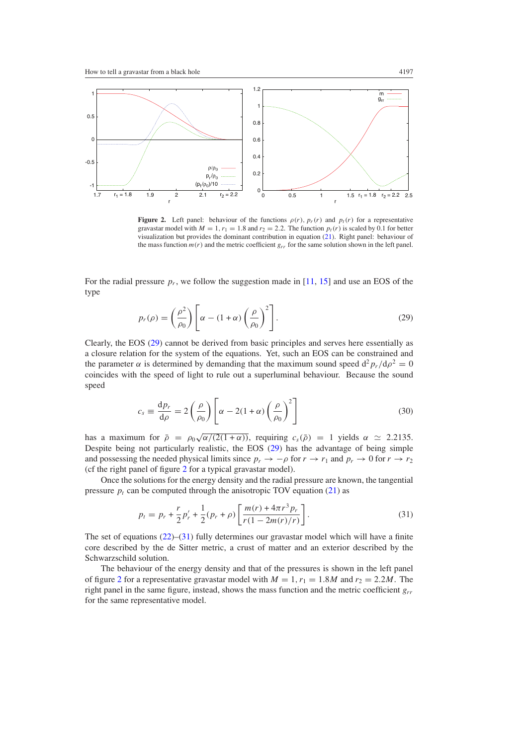<span id="page-6-0"></span>

**Figure 2.** Left panel: behaviour of the functions  $\rho(r)$ ,  $p_r(r)$  and  $p_t(r)$  for a representative gravastar model with  $M = 1, r_1 = 1.8$  and  $r_2 = 2.2$ . The function  $p_t(r)$  is scaled by 0.1 for better visualization but provides the dominant contribution in equation [\(21\)](#page-5-0). Right panel: behaviour of the mass function  $m(r)$  and the metric coefficient  $g_{rr}$  for the same solution shown in the left panel.

For the radial pressure  $p_r$ , we follow the suggestion made in [\[11](#page-14-0), [15](#page-14-0)] and use an EOS of the type

$$
p_r(\rho) = \left(\frac{\rho^2}{\rho_0}\right) \left[\alpha - (1+\alpha) \left(\frac{\rho}{\rho_0}\right)^2\right].
$$
 (29)

Clearly, the EOS (29) cannot be derived from basic principles and serves here essentially as a closure relation for the system of the equations. Yet, such an EOS can be constrained and the parameter  $\alpha$  is determined by demanding that the maximum sound speed  $d^2 p_r/d\rho^2 = 0$ coincides with the speed of light to rule out a superluminal behaviour. Because the sound speed

$$
c_s \equiv \frac{dp_r}{d\rho} = 2\left(\frac{\rho}{\rho_0}\right) \left[\alpha - 2(1+\alpha)\left(\frac{\rho}{\rho_0}\right)^2\right]
$$
(30)

has a maximum for  $\bar{\rho} = \rho_0 \sqrt{\alpha/(2(1+\alpha))}$ , requiring  $c_s(\bar{\rho}) = 1$  yields  $\alpha \approx 2.2135$ . Despite being not particularly realistic, the EOS (29) has the advantage of being simple and possessing the needed physical limits since  $p_r \to -\rho$  for  $r \to r_1$  and  $p_r \to 0$  for  $r \to r_2$ (cf the right panel of figure 2 for a typical gravastar model).

Once the solutions for the energy density and the radial pressure are known, the tangential pressure  $p_t$  can be computed through the anisotropic TOV equation [\(21\)](#page-5-0) as

$$
p_t = p_r + \frac{r}{2}p'_r + \frac{1}{2}(p_r + \rho) \left[ \frac{m(r) + 4\pi r^3 p_r}{r(1 - 2m(r)/r)} \right].
$$
\n(31)

The set of equations [\(22\)](#page-5-0)–(31) fully determines our gravastar model which will have a finite core described by the de Sitter metric, a crust of matter and an exterior described by the Schwarzschild solution.

The behaviour of the energy density and that of the pressures is shown in the left panel of figure 2 for a representative gravastar model with  $M = 1$ ,  $r_1 = 1.8M$  and  $r_2 = 2.2M$ . The right panel in the same figure, instead, shows the mass function and the metric coefficient *grr* for the same representative model.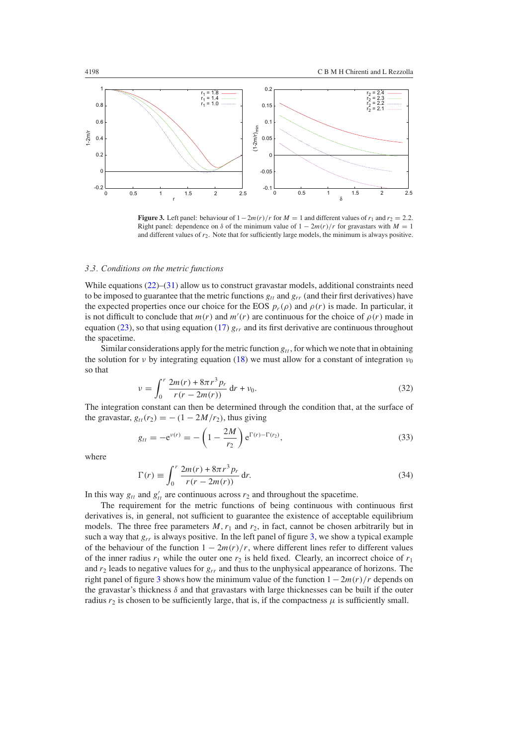<span id="page-7-0"></span>

**Figure 3.** Left panel: behaviour of  $1 - 2m(r)/r$  for  $M = 1$  and different values of  $r_1$  and  $r_2 = 2.2$ . Right panel: dependence on  $\delta$  of the minimum value of  $1 - 2m(r)/r$  for gravastars with  $M = 1$ and different values of *r*2. Note that for sufficiently large models, the minimum is always positive.

## *3.3. Conditions on the metric functions*

While equations [\(22\)](#page-5-0)–[\(31\)](#page-6-0) allow us to construct gravastar models, additional constraints need to be imposed to guarantee that the metric functions  $g_{tt}$  and  $g_{rr}$  (and their first derivatives) have the expected properties once our choice for the EOS  $p_r(\rho)$  and  $\rho(r)$  is made. In particular, it is not difficult to conclude that  $m(r)$  and  $m'(r)$  are continuous for the choice of  $\rho(r)$  made in equation [\(23\)](#page-5-0), so that using equation [\(17\)](#page-5-0)  $g_{rr}$  and its first derivative are continuous throughout the spacetime.

Similar considerations apply for the metric function  $g_{tt}$ , for which we note that in obtaining the solution for *ν* by integrating equation [\(18\)](#page-5-0) we must allow for a constant of integration  $v_0$ so that

$$
\nu = \int_0^r \frac{2m(r) + 8\pi r^3 p_r}{r(r - 2m(r))} dr + \nu_0.
$$
\n(32)

The integration constant can then be determined through the condition that, at the surface of the gravastar,  $g_{tt}(r_2) = -(1 - 2M/r_2)$ , thus giving

$$
g_{tt} = -e^{\nu(r)} = -\left(1 - \frac{2M}{r_2}\right) e^{\Gamma(r) - \Gamma(r_2)},
$$
\n(33)

where

$$
\Gamma(r) \equiv \int_0^r \frac{2m(r) + 8\pi r^3 p_r}{r(r - 2m(r))} dr.
$$
\n(34)

In this way  $g_{tt}$  and  $g'_{tt}$  are continuous across  $r_2$  and throughout the spacetime.

The requirement for the metric functions of being continuous with continuous first derivatives is, in general, not sufficient to guarantee the existence of acceptable equilibrium models. The three free parameters  $M$ ,  $r_1$  and  $r_2$ , in fact, cannot be chosen arbitrarily but in such a way that  $g_{rr}$  is always positive. In the left panel of figure 3, we show a typical example of the behaviour of the function  $1 - 2m(r)/r$ , where different lines refer to different values of the inner radius  $r_1$  while the outer one  $r_2$  is held fixed. Clearly, an incorrect choice of  $r_1$ and *r*<sup>2</sup> leads to negative values for *grr* and thus to the unphysical appearance of horizons. The right panel of figure 3 shows how the minimum value of the function 1−2*m(r)/r* depends on the gravastar's thickness  $\delta$  and that gravastars with large thicknesses can be built if the outer radius  $r_2$  is chosen to be sufficiently large, that is, if the compactness  $\mu$  is sufficiently small.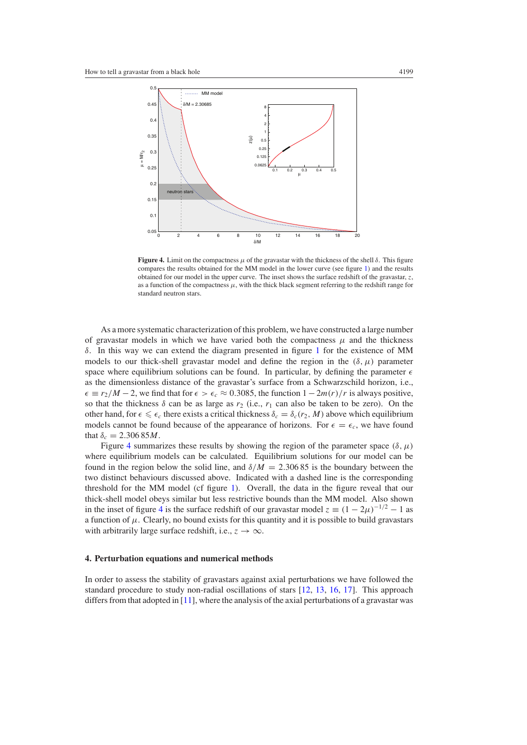<span id="page-8-0"></span>

**Figure 4.** Limit on the compactness  $\mu$  of the gravastar with the thickness of the shell  $\delta$ . This figure compares the results obtained for the MM model in the lower curve (see figure [1\)](#page-4-0) and the results obtained for our model in the upper curve. The inset shows the surface redshift of the gravastar, *z*, as a function of the compactness  $\mu$ , with the thick black segment referring to the redshift range for standard neutron stars.

As a more systematic characterization of this problem, we have constructed a large number of gravastar models in which we have varied both the compactness  $\mu$  and the thickness *δ*. In this way we can extend the diagram presented in figure [1](#page-4-0) for the existence of MM models to our thick-shell gravastar model and define the region in the  $(\delta, \mu)$  parameter space where equilibrium solutions can be found. In particular, by defining the parameter  $\epsilon$ as the dimensionless distance of the gravastar's surface from a Schwarzschild horizon, i.e.,  $\epsilon \equiv r_2/M - 2$ , we find that for  $\epsilon > \epsilon_c \approx 0.3085$ , the function  $1 - 2m(r)/r$  is always positive, so that the thickness  $\delta$  can be as large as  $r_2$  (i.e.,  $r_1$  can also be taken to be zero). On the other hand, for  $\epsilon \leq \epsilon_c$  there exists a critical thickness  $\delta_c = \delta_c(r_2, M)$  above which equilibrium models cannot be found because of the appearance of horizons. For  $\epsilon = \epsilon_c$ , we have found that  $\delta_c = 2.30685M$ .

Figure 4 summarizes these results by showing the region of the parameter space  $(\delta, \mu)$ where equilibrium models can be calculated. Equilibrium solutions for our model can be found in the region below the solid line, and  $\delta/M = 2.30685$  is the boundary between the two distinct behaviours discussed above. Indicated with a dashed line is the corresponding threshold for the MM model (cf figure [1\)](#page-4-0). Overall, the data in the figure reveal that our thick-shell model obeys similar but less restrictive bounds than the MM model. Also shown in the inset of figure 4 is the surface redshift of our gravastar model  $z = (1 - 2\mu)^{-1/2} - 1$  as a function of  $\mu$ . Clearly, no bound exists for this quantity and it is possible to build gravastars with arbitrarily large surface redshift, i.e.,  $z \rightarrow \infty$ .

#### **4. Perturbation equations and numerical methods**

In order to assess the stability of gravastars against axial perturbations we have followed the standard procedure to study non-radial oscillations of stars [\[12](#page-14-0), [13](#page-14-0), [16,](#page-14-0) [17\]](#page-14-0). This approach differs from that adopted in  $[11]$ , where the analysis of the axial perturbations of a gravastar was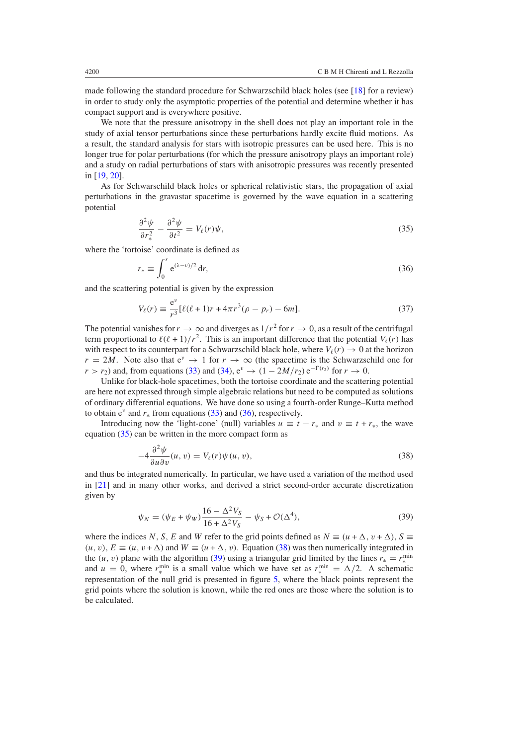<span id="page-9-0"></span>made following the standard procedure for Schwarzschild black holes (see [\[18](#page-15-0)] for a review) in order to study only the asymptotic properties of the potential and determine whether it has compact support and is everywhere positive.

We note that the pressure anisotropy in the shell does not play an important role in the study of axial tensor perturbations since these perturbations hardly excite fluid motions. As a result, the standard analysis for stars with isotropic pressures can be used here. This is no longer true for polar perturbations (for which the pressure anisotropy plays an important role) and a study on radial perturbations of stars with anisotropic pressures was recently presented in [\[19](#page-15-0), [20](#page-15-0)].

As for Schwarschild black holes or spherical relativistic stars, the propagation of axial perturbations in the gravastar spacetime is governed by the wave equation in a scattering potential

$$
\frac{\partial^2 \psi}{\partial r_*^2} - \frac{\partial^2 \psi}{\partial t^2} = V_\ell(r)\psi,\tag{35}
$$

where the 'tortoise' coordinate is defined as

$$
r_* \equiv \int_0^r e^{(\lambda - \nu)/2} \, \mathrm{d}r,\tag{36}
$$

and the scattering potential is given by the expression

$$
V_{\ell}(r) \equiv \frac{e^{\nu}}{r^3} [\ell(\ell+1)r + 4\pi r^3(\rho - p_r) - 6m].
$$
 (37)

The potential vanishes for  $r \to \infty$  and diverges as  $1/r^2$  for  $r \to 0$ , as a result of the centrifugal term proportional to  $\ell(\ell + 1)/r^2$ . This is an important difference that the potential  $V_\ell(r)$  has with respect to its counterpart for a Schwarzschild black hole, where  $V_f(r) \rightarrow 0$  at the horizon  $r = 2M$ . Note also that  $e^v \rightarrow 1$  for  $r \rightarrow \infty$  (the spacetime is the Schwarzschild one for  $r > r_2$ ) and, from equations [\(33\)](#page-7-0) and [\(34\)](#page-7-0),  $e^{\nu} \rightarrow (1 - 2M/r_2) e^{-\Gamma(r_2)}$  for  $r \rightarrow 0$ .

Unlike for black-hole spacetimes, both the tortoise coordinate and the scattering potential are here not expressed through simple algebraic relations but need to be computed as solutions of ordinary differential equations. We have done so using a fourth-order Runge–Kutta method to obtain  $e^{\nu}$  and  $r_*$  from equations [\(33\)](#page-7-0) and (36), respectively.

Introducing now the 'light-cone' (null) variables  $u \equiv t - r_*$  and  $v \equiv t + r_*$ , the wave equation (35) can be written in the more compact form as

$$
-4\frac{\partial^2 \psi}{\partial u \partial v}(u, v) = V_{\ell}(r)\psi(u, v),\tag{38}
$$

and thus be integrated numerically. In particular, we have used a variation of the method used in [\[21\]](#page-15-0) and in many other works, and derived a strict second-order accurate discretization given by

$$
\psi_N = (\psi_E + \psi_W) \frac{16 - \Delta^2 V_S}{16 + \Delta^2 V_S} - \psi_S + \mathcal{O}(\Delta^4),\tag{39}
$$

where the indices *N*, *S*, *E* and *W* refer to the grid points defined as  $N \equiv (u + \Delta, v + \Delta), S \equiv$  $(u, v), E \equiv (u, v + \Delta)$  and  $W \equiv (u + \Delta, v)$ . Equation (38) was then numerically integrated in the (*u*, *v*) plane with the algorithm (39) using a triangular grid limited by the lines  $r_* = r_*^{\text{min}}$ and  $u = 0$ , where  $r_{\ast}^{\min}$  is a small value which we have set as  $r_{\ast}^{\min} = \Delta/2$ . A schematic representation of the null grid is presented in figure [5,](#page-10-0) where the black points represent the grid points where the solution is known, while the red ones are those where the solution is to be calculated.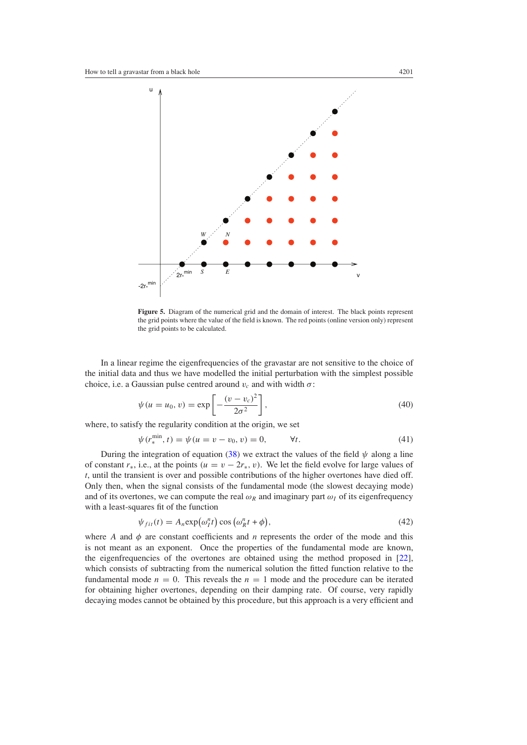<span id="page-10-0"></span>

**Figure 5.** Diagram of the numerical grid and the domain of interest. The black points represent the grid points where the value of the field is known. The red points (online version only) represent the grid points to be calculated.

In a linear regime the eigenfrequencies of the gravastar are not sensitive to the choice of the initial data and thus we have modelled the initial perturbation with the simplest possible choice, i.e. a Gaussian pulse centred around  $v_c$  and with width  $\sigma$ :

$$
\psi(u = u_0, v) = \exp\left[-\frac{(v - v_c)^2}{2\sigma^2}\right],
$$
\n(40)

where, to satisfy the regularity condition at the origin, we set

$$
\psi(r_*^{\min}, t) = \psi(u = v - v_0, v) = 0, \qquad \forall t.
$$
\n(41)

During the integration of equation [\(38\)](#page-9-0) we extract the values of the field  $\psi$  along a line of constant  $r<sub>*</sub>$ , i.e., at the points  $(u = v - 2r<sub>*</sub>, v)$ . We let the field evolve for large values of *t*, until the transient is over and possible contributions of the higher overtones have died off. Only then, when the signal consists of the fundamental mode (the slowest decaying mode) and of its overtones, we can compute the real  $\omega_R$  and imaginary part  $\omega_I$  of its eigenfrequency with a least-squares fit of the function

$$
\psi_{fit}(t) = A_n \exp(\omega_l^n t) \cos(\omega_R^n t + \phi), \qquad (42)
$$

where *A* and  $\phi$  are constant coefficients and *n* represents the order of the mode and this is not meant as an exponent. Once the properties of the fundamental mode are known, the eigenfrequencies of the overtones are obtained using the method proposed in [\[22\]](#page-15-0), which consists of subtracting from the numerical solution the fitted function relative to the fundamental mode  $n = 0$ . This reveals the  $n = 1$  mode and the procedure can be iterated for obtaining higher overtones, depending on their damping rate. Of course, very rapidly decaying modes cannot be obtained by this procedure, but this approach is a very efficient and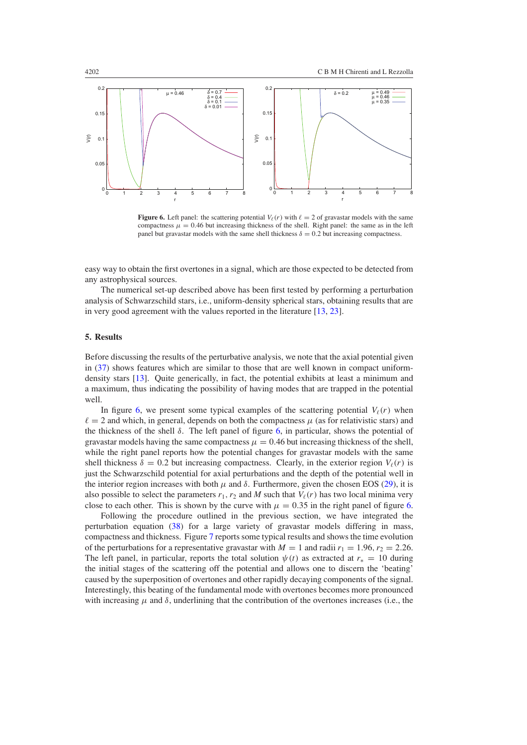<span id="page-11-0"></span>

**Figure 6.** Left panel: the scattering potential  $V_{\ell}(r)$  with  $\ell = 2$  of gravastar models with the same compactness  $\mu = 0.46$  but increasing thickness of the shell. Right panel: the same as in the left panel but gravastar models with the same shell thickness  $\delta = 0.2$  but increasing compactness.

easy way to obtain the first overtones in a signal, which are those expected to be detected from any astrophysical sources.

The numerical set-up described above has been first tested by performing a perturbation analysis of Schwarzschild stars, i.e., uniform-density spherical stars, obtaining results that are in very good agreement with the values reported in the literature [\[13,](#page-14-0) [23](#page-15-0)].

## **5. Results**

Before discussing the results of the perturbative analysis, we note that the axial potential given in [\(37\)](#page-9-0) shows features which are similar to those that are well known in compact uniformdensity stars [\[13\]](#page-14-0). Quite generically, in fact, the potential exhibits at least a minimum and a maximum, thus indicating the possibility of having modes that are trapped in the potential well.

In figure 6, we present some typical examples of the scattering potential  $V_{\ell}(r)$  when  $\ell = 2$  and which, in general, depends on both the compactness  $\mu$  (as for relativistic stars) and the thickness of the shell  $\delta$ . The left panel of figure 6, in particular, shows the potential of gravastar models having the same compactness  $\mu = 0.46$  but increasing thickness of the shell. while the right panel reports how the potential changes for gravastar models with the same shell thickness  $\delta = 0.2$  but increasing compactness. Clearly, in the exterior region  $V_{\ell}(r)$  is just the Schwarzschild potential for axial perturbations and the depth of the potential well in the interior region increases with both  $\mu$  and  $\delta$ . Furthermore, given the chosen EOS [\(29\)](#page-6-0), it is also possible to select the parameters  $r_1, r_2$  and *M* such that  $V_\ell(r)$  has two local minima very close to each other. This is shown by the curve with  $\mu = 0.35$  in the right panel of figure 6.

Following the procedure outlined in the previous section, we have integrated the perturbation equation [\(38\)](#page-9-0) for a large variety of gravastar models differing in mass, compactness and thickness. Figure [7](#page-12-0) reports some typical results and shows the time evolution of the perturbations for a representative gravastar with  $M = 1$  and radii  $r_1 = 1.96$ ,  $r_2 = 2.26$ . The left panel, in particular, reports the total solution  $\psi(t)$  as extracted at  $r_* = 10$  during the initial stages of the scattering off the potential and allows one to discern the 'beating' caused by the superposition of overtones and other rapidly decaying components of the signal. Interestingly, this beating of the fundamental mode with overtones becomes more pronounced with increasing  $\mu$  and  $\delta$ , underlining that the contribution of the overtones increases (i.e., the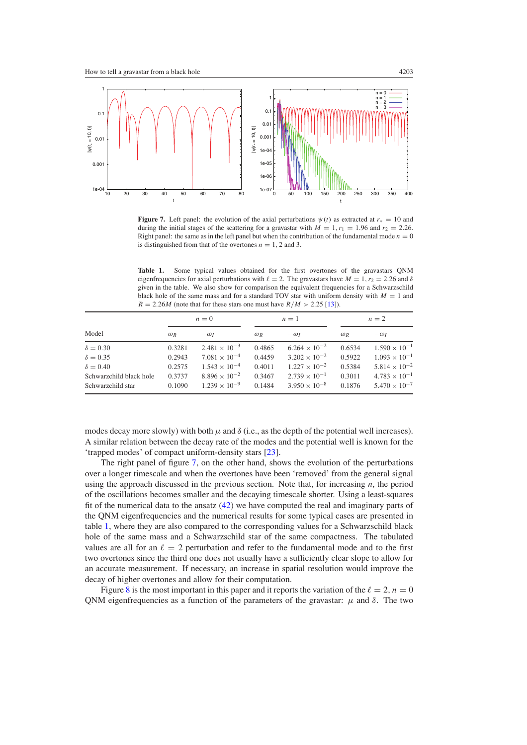<span id="page-12-0"></span>

**Figure 7.** Left panel: the evolution of the axial perturbations  $\psi(t)$  as extracted at  $r_* = 10$  and during the initial stages of the scattering for a gravastar with  $M = 1, r_1 = 1.96$  and  $r_2 = 2.26$ . Right panel: the same as in the left panel but when the contribution of the fundamental mode  $n = 0$ is distinguished from that of the overtones  $n = 1, 2$  and 3.

**Table 1.** Some typical values obtained for the first overtones of the gravastars QNM eigenfrequencies for axial perturbations with  $\ell = 2$ . The gravastars have  $M = 1$ ,  $r_2 = 2.26$  and  $\delta$ given in the table. We also show for comparison the equivalent frequencies for a Schwarzschild black hole of the same mass and for a standard TOV star with uniform density with  $M = 1$  and  $R = 2.26M$  (note that for these stars one must have  $R/M > 2.25$  [\[13\]](#page-14-0)).

| Model                   | $n=0$      |                        | $n=1$      |                        | $n=2$      |                        |
|-------------------------|------------|------------------------|------------|------------------------|------------|------------------------|
|                         | $\omega_R$ | $-\omega_I$            | $\omega_R$ | $-\omega_I$            | $\omega_R$ | $-\omega_I$            |
| $\delta = 0.30$         | 0.3281     | $2.481 \times 10^{-3}$ | 0.4865     | $6.264 \times 10^{-2}$ | 0.6534     | $1.590 \times 10^{-1}$ |
| $\delta = 0.35$         | 0.2943     | $7.081 \times 10^{-4}$ | 0.4459     | $3.202 \times 10^{-2}$ | 0.5922     | $1.093 \times 10^{-1}$ |
| $\delta = 0.40$         | 0.2575     | $1.543 \times 10^{-4}$ | 0.4011     | $1.227 \times 10^{-2}$ | 0.5384     | $5.814 \times 10^{-2}$ |
| Schwarzchild black hole | 0.3737     | $8.896 \times 10^{-2}$ | 0.3467     | $2.739 \times 10^{-1}$ | 0.3011     | $4.783 \times 10^{-1}$ |
| Schwarzchild star       | 0.1090     | $1.239 \times 10^{-9}$ | 0.1484     | $3.950 \times 10^{-8}$ | 0.1876     | $5.470 \times 10^{-7}$ |

modes decay more slowly) with both  $\mu$  and  $\delta$  (i.e., as the depth of the potential well increases). A similar relation between the decay rate of the modes and the potential well is known for the 'trapped modes' of compact uniform-density stars [\[23](#page-15-0)].

The right panel of figure 7, on the other hand, shows the evolution of the perturbations over a longer timescale and when the overtones have been 'removed' from the general signal using the approach discussed in the previous section. Note that, for increasing *n*, the period of the oscillations becomes smaller and the decaying timescale shorter. Using a least-squares fit of the numerical data to the ansatz [\(42\)](#page-10-0) we have computed the real and imaginary parts of the QNM eigenfrequencies and the numerical results for some typical cases are presented in table 1, where they are also compared to the corresponding values for a Schwarzschild black hole of the same mass and a Schwarzschild star of the same compactness. The tabulated values are all for an  $\ell = 2$  perturbation and refer to the fundamental mode and to the first two overtones since the third one does not usually have a sufficiently clear slope to allow for an accurate measurement. If necessary, an increase in spatial resolution would improve the decay of higher overtones and allow for their computation.

Figure [8](#page-13-0) is the most important in this paper and it reports the variation of the  $\ell = 2$ ,  $n = 0$ QNM eigenfrequencies as a function of the parameters of the gravastar:  $\mu$  and *δ*. The two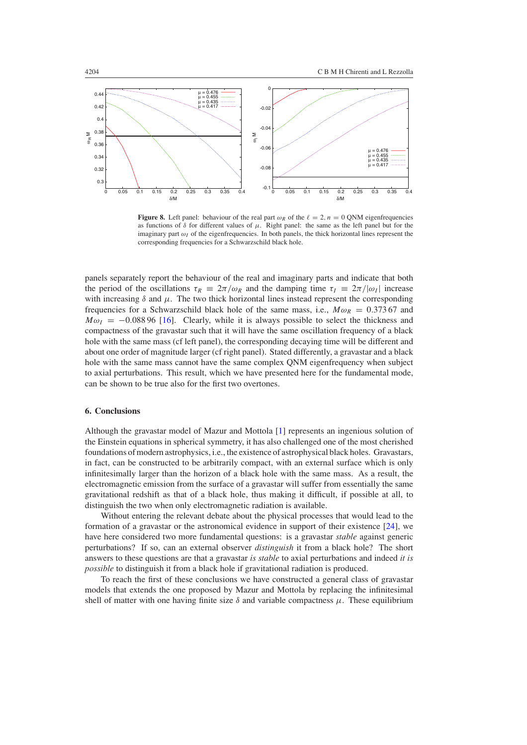<span id="page-13-0"></span>

**Figure 8.** Left panel: behaviour of the real part  $\omega_R$  of the  $\ell = 2$ ,  $n = 0$  QNM eigenfrequencies as functions of *δ* for different values of *µ*. Right panel: the same as the left panel but for the imaginary part  $\omega_I$  of the eigenfrequencies. In both panels, the thick horizontal lines represent the corresponding frequencies for a Schwarzschild black hole.

panels separately report the behaviour of the real and imaginary parts and indicate that both the period of the oscillations  $\tau_R \equiv 2\pi/\omega_R$  and the damping time  $\tau_I \equiv 2\pi/|\omega_I|$  increase with increasing  $\delta$  and  $\mu$ . The two thick horizontal lines instead represent the corresponding frequencies for a Schwarzschild black hole of the same mass, i.e.,  $M\omega_R = 0.37367$  and  $M\omega$ <sub>I</sub> = −0.088 96 [\[16](#page-14-0)]. Clearly, while it is always possible to select the thickness and compactness of the gravastar such that it will have the same oscillation frequency of a black hole with the same mass (cf left panel), the corresponding decaying time will be different and about one order of magnitude larger (cf right panel). Stated differently, a gravastar and a black hole with the same mass cannot have the same complex QNM eigenfrequency when subject to axial perturbations. This result, which we have presented here for the fundamental mode, can be shown to be true also for the first two overtones.

# **6. Conclusions**

Although the gravastar model of Mazur and Mottola [\[1](#page-14-0)] represents an ingenious solution of the Einstein equations in spherical symmetry, it has also challenged one of the most cherished foundations of modern astrophysics, i.e., the existence of astrophysical black holes. Gravastars, in fact, can be constructed to be arbitrarily compact, with an external surface which is only infinitesimally larger than the horizon of a black hole with the same mass. As a result, the electromagnetic emission from the surface of a gravastar will suffer from essentially the same gravitational redshift as that of a black hole, thus making it difficult, if possible at all, to distinguish the two when only electromagnetic radiation is available.

Without entering the relevant debate about the physical processes that would lead to the formation of a gravastar or the astronomical evidence in support of their existence [\[24\]](#page-15-0), we have here considered two more fundamental questions: is a gravastar *stable* against generic perturbations? If so, can an external observer *distinguish* it from a black hole? The short answers to these questions are that a gravastar *is stable* to axial perturbations and indeed *it is possible* to distinguish it from a black hole if gravitational radiation is produced.

To reach the first of these conclusions we have constructed a general class of gravastar models that extends the one proposed by Mazur and Mottola by replacing the infinitesimal shell of matter with one having finite size  $\delta$  and variable compactness  $\mu$ . These equilibrium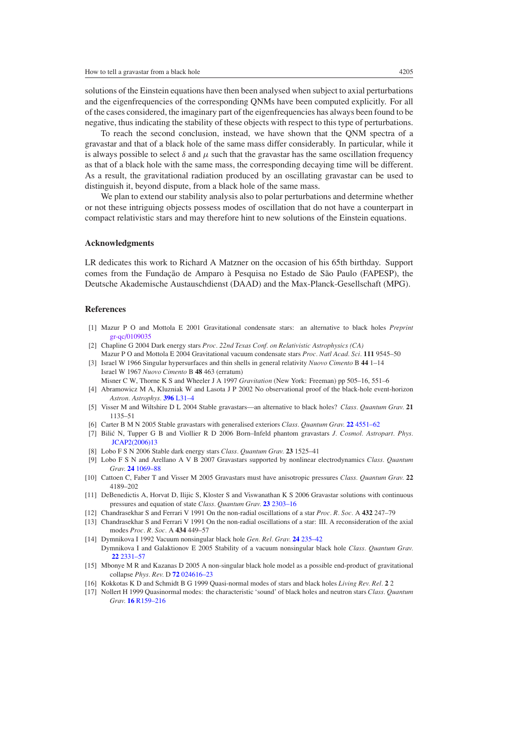<span id="page-14-0"></span>solutions of the Einstein equations have then been analysed when subject to axial perturbations and the eigenfrequencies of the corresponding QNMs have been computed explicitly. For all of the cases considered, the imaginary part of the eigenfrequencies has always been found to be negative, thus indicating the stability of these objects with respect to this type of perturbations.

To reach the second conclusion, instead, we have shown that the QNM spectra of a gravastar and that of a black hole of the same mass differ considerably. In particular, while it is always possible to select  $\delta$  and  $\mu$  such that the gravastar has the same oscillation frequency as that of a black hole with the same mass, the corresponding decaying time will be different. As a result, the gravitational radiation produced by an oscillating gravastar can be used to distinguish it, beyond dispute, from a black hole of the same mass.

We plan to extend our stability analysis also to polar perturbations and determine whether or not these intriguing objects possess modes of oscillation that do not have a counterpart in compact relativistic stars and may therefore hint to new solutions of the Einstein equations.

#### **Acknowledgments**

LR dedicates this work to Richard A Matzner on the occasion of his 65th birthday. Support comes from the Fundação de Amparo à Pesquisa no Estado de São Paulo (FAPESP), the Deutsche Akademische Austauschdienst (DAAD) and the Max-Planck-Gesellschaft (MPG).

# **References**

- [1] Mazur P O and Mottola E 2001 Gravitational condensate stars: an alternative to black holes *Preprint* [gr-qc/0109035](http://www.arxiv.org/abs/gr-qc/0109035)
- [2] Chapline G 2004 Dark energy stars *Proc. 22nd Texas Conf. on Relativistic Astrophysics (CA)* Mazur P O and Mottola E 2004 Gravitational vacuum condensate stars *Proc. Natl Acad. Sci.* **111** 9545–50
- [3] Israel W 1966 Singular hypersurfaces and thin shells in general relativity *Nuovo Cimento* B **44** 1–14 Israel W 1967 *Nuovo Cimento* B **48** 463 (erratum) Misner C W, Thorne K S and Wheeler J A 1997 *Gravitation* (New York: Freeman) pp 505–16, 551–6
- [4] Abramowicz M A, Kluzniak W and Lasota J P 2002 No observational proof of the black-hole event-horizon
- *Astron. Astrophys.* **396** [L31–4](http://dx.doi.org/10.1051/0004-6361:20021645)
- [5] Visser M and Wiltshire D L 2004 Stable gravastars—an alternative to black holes? *Class. Quantum Grav.* **21** 1135–51
- [6] Carter B M N 2005 Stable gravastars with generalised exteriors *Class. Quantum Grav.* **22** [4551–62](http://dx.doi.org/10.1088/0264-9381/22/21/007)
- [7] Bilic N, Tupper G B and Viollier R D 2006 Born–Infeld phantom gravastars *J. Cosmol. Astropart. Phys.* [JCAP2\(2006\)13](http://dx.doi.org/10.1088/1475-7516/2006/2/13)
- [8] Lobo F S N 2006 Stable dark energy stars *Class. Quantum Grav.* **23** 1525–41
- [9] Lobo F S N and Arellano A V B 2007 Gravastars supported by nonlinear electrodynamics *Class. Quantum Grav.* **24** [1069–88](http://dx.doi.org/10.1088/0264-9381/24/5/004)
- [10] Cattoen C, Faber T and Visser M 2005 Gravastars must have anisotropic pressures *Class. Quantum Grav.* **22** 4189–202
- [11] DeBenedictis A, Horvat D, Ilijic S, Kloster S and Viswanathan K S 2006 Gravastar solutions with continuous pressures and equation of state *Class. Quantum Grav.* **23** [2303–16](http://dx.doi.org/10.1088/0264-9381/23/7/007)
- [12] Chandrasekhar S and Ferrari V 1991 On the non-radial oscillations of a star *Proc. R. Soc.* A **432** 247–79
- [13] Chandrasekhar S and Ferrari V 1991 On the non-radial oscillations of a star: III. A reconsideration of the axial modes *Proc. R. Soc.* A **434** 449–57
- [14] Dymnikova I 1992 Vacuum nonsingular black hole *Gen. Rel. Grav.* **24** [235–42](http://dx.doi.org/10.1007/BF00760226)
- Dymnikova I and Galaktionov E 2005 Stability of a vacuum nonsingular black hole *Class. Quantum Grav.* **22** [2331–57](http://dx.doi.org/10.1088/0264-9381/22/12/003)
- [15] Mbonye M R and Kazanas D 2005 A non-singular black hole model as a possible end-product of gravitational collapse *Phys. Rev.* D **72** [024616–23](http://dx.doi.org/10.1103/PhysRevD.72.024016)
- [16] Kokkotas K D and Schmidt B G 1999 Quasi-normal modes of stars and black holes *Living Rev. Rel.* **2** 2
- [17] Nollert H 1999 Quasinormal modes: the characteristic 'sound' of black holes and neutron stars *Class. Quantum Grav.* **16** [R159–216](http://dx.doi.org/10.1088/0264-9381/16/12/201)